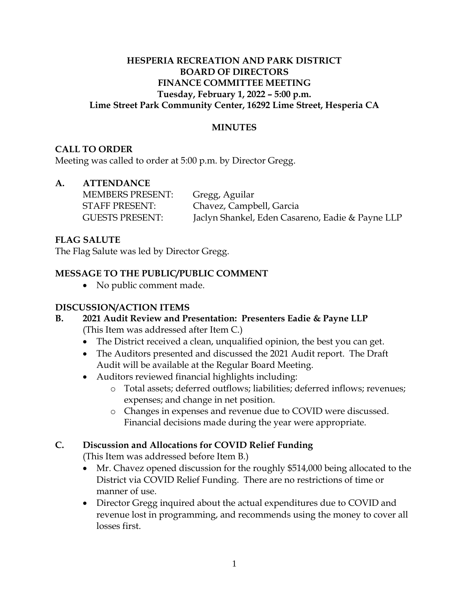#### **HESPERIA RECREATION AND PARK DISTRICT BOARD OF DIRECTORS FINANCE COMMITTEE MEETING Tuesday, February 1, 2022 – 5:00 p.m. Lime Street Park Community Center, 16292 Lime Street, Hesperia CA**

#### **MINUTES**

#### **CALL TO ORDER**

Meeting was called to order at 5:00 p.m. by Director Gregg.

# **A. ATTENDANCE**

| <b>MEMBERS PRESENT:</b> | Gregg, Aguilar                                   |
|-------------------------|--------------------------------------------------|
| <b>STAFF PRESENT:</b>   | Chavez, Campbell, Garcia                         |
| <b>GUESTS PRESENT:</b>  | Jaclyn Shankel, Eden Casareno, Eadie & Payne LLP |

# **FLAG SALUTE**

The Flag Salute was led by Director Gregg.

# **MESSAGE TO THE PUBLIC/PUBLIC COMMENT**

• No public comment made.

#### **DISCUSSION/ACTION ITEMS**

#### **B. 2021 Audit Review and Presentation: Presenters Eadie & Payne LLP** (This Item was addressed after Item C.)

- The District received a clean, unqualified opinion, the best you can get.
- The Auditors presented and discussed the 2021 Audit report. The Draft Audit will be available at the Regular Board Meeting.
- Auditors reviewed financial highlights including:
	- o Total assets; deferred outflows; liabilities; deferred inflows; revenues; expenses; and change in net position.
	- o Changes in expenses and revenue due to COVID were discussed. Financial decisions made during the year were appropriate.

# **C. Discussion and Allocations for COVID Relief Funding**

(This Item was addressed before Item B.)

- Mr. Chavez opened discussion for the roughly \$514,000 being allocated to the District via COVID Relief Funding. There are no restrictions of time or manner of use.
- Director Gregg inquired about the actual expenditures due to COVID and revenue lost in programming, and recommends using the money to cover all losses first.